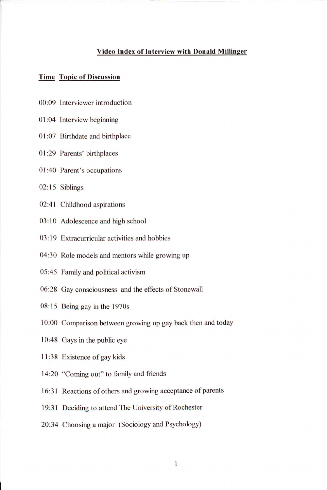## **Video Index of Interview with Donald Millinger**

## **Time Topic of Discussion**

- 00:09 Interviewer introduction
- 01:04 Interview beginning
- 01 :07 Birthdate and birthplace
- 01 :29 Parents' birthplaces
- 01 :40 Parent's occupations
- 02:15 Siblings
- 02:41 Childhood aspirations
- 03:10 Adolescence and high school
- 03: 19 Extracurricular activities and hobbies
- 04:30 Role models and mentors while growing up
- 05:45 Family and political activism
- 06:28 Gay consciousness and the effects of Stonewall
- 08: 15 Being gay in the 1970s
- 10:00 Comparison between growing up gay back then and today
- 10:48 Gays in the public eye
- 11:38 Existence of gay kids
- 14:20 "Coming out" to family and friends
- 16:31 Reactions of others and growing acceptance of parents
- 19:31 Deciding to attend The University of Rochester
- 20:34 Choosing a major (Sociology and Psychology)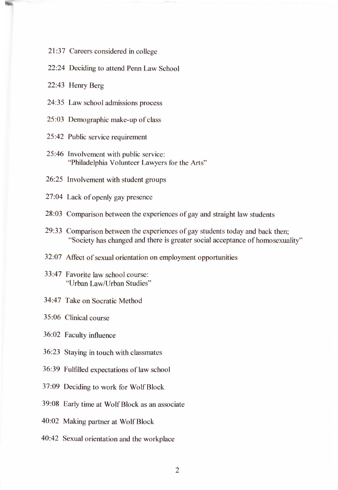- 21 :37 Careers considered in college
- 22:24 Deciding to attend Penn Law School
- 22:43 Henry Berg
- 24:35 Law school admissions process
- 25:03 Demographic make-up of class
- 25:42 Public service requirement
- 25:46 Involvement with public service: "Philadelphia Volunteer Lawyers for the Arts"
- 26:25 Involvement with student groups
- 27:04 Lack of openly gay presence
- 28:03 Comparison between the experiences of gay and straight law students
- 29:33 Comparison between the experiences of gay students today and back then; "Society has changed and there is greater social acceptance of homosexuality"
- 32:07 Affect of sexual orientation on employment opportunities
- 33:47 Favorite law school course: "Urban Law/Urban Studies"
- 34:47 Take on Socratic Method
- 35:06 Clinical course
- 36:02 Faculty influence
- 36:23 Staying in touch with classmates
- 36:39 Fulfilled expectations of law school
- 37:09 Deciding to work for Wolf Block
- 39:08 Early time at Wolf Block as an associate
- 40:02 Making partner at Wolf Block
- 40:42 Sexual orientation and the workplace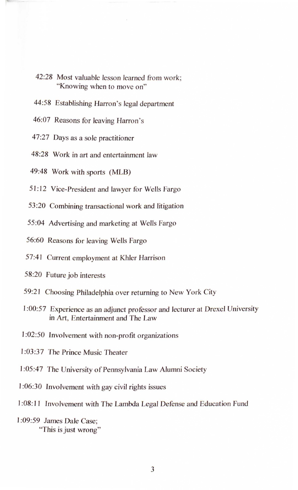- 42:28 Most valuable lesson learned from work; "Knowing when to move on"
- 44:58 Establishing Harron's legal department
- 46:07 Reasons for leaving Harron 's
- 47:27 Days as a sole practitioner
- 48:28 Work in art and entertainment Jaw
- 49:48 Work with sports (MLB)
- 51: 12 Vice-President and lawyer for Wells Fargo
- 53 :20 Combining transactional work and litigation
- 55:04 Advertising and marketing at Wells Fargo
- 56:60 Reasons for leaving Wells Fargo
- 57:41 Current employment at Khler Harrison
- 58:20 Future job interests
- 59:21 Choosing Philadelphia over returning to New York City
- I :00:57 Experience as an adjunct professor and lecturer at Drexel University in Art, Entertainment and The Law
- 1:02:50 Involvement with non-profit organizations
- 1 :03:37 The Prince Music Theater
- l :05:47 The University of Pennsylvania Law Alumni Society
- l :06:30 Involvement with gay civil rights issues
- 1 :08: 11 fnvolvement with The Lambda Legal Defense and Education Fund
- 1 :09:59 James Dale Case; "This is just wrong"